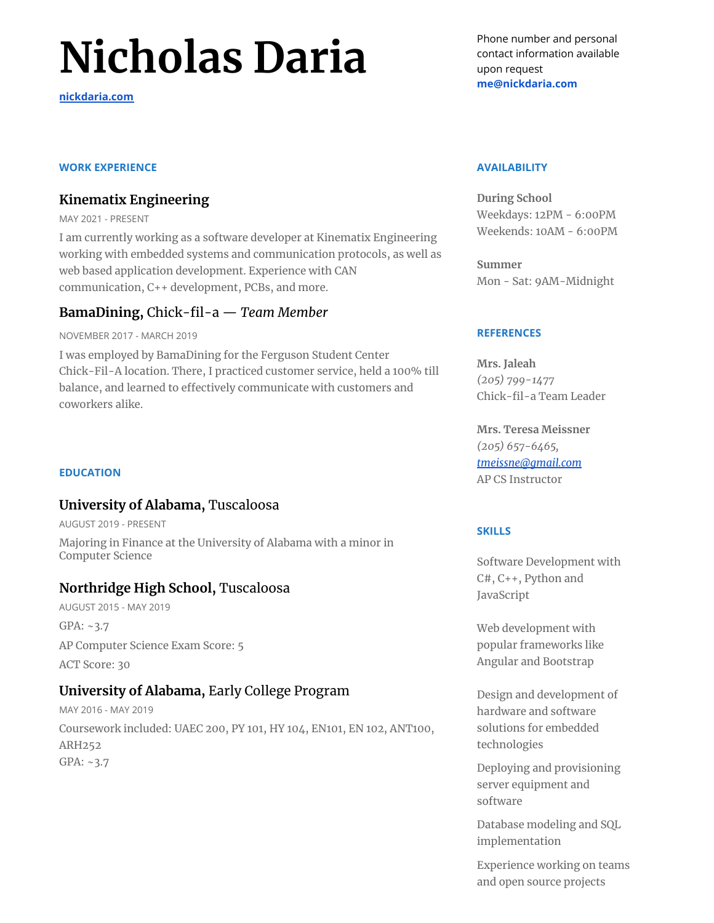# **Nicholas Daria**

**[nickdaria.com](https://www.nickdaria.com)**

#### **WORK EXPERIENCE**

## **Kinematix Engineering**

#### MAY 2021 - PRESENT

I am currently working as a software developer at Kinematix Engineering working with embedded systems and communication protocols, as well as web based application development. Experience with CAN communication, C++ development, PCBs, and more.

# **BamaDining,** Chick-fil-a — *Team Member*

## NOVEMBER 2017 - MARCH 2019

I was employed by BamaDining for the Ferguson Student Center Chick-Fil-A location. There, I practiced customer service, held a 100% till balance, and learned to effectively communicate with customers and coworkers alike.

## **EDUCATION**

## **University of Alabama,** Tuscaloosa

AUGUST 2019 - PRESENT

Majoring in Finance at the University of Alabama with a minor in Computer Science

# **Northridge High School,** Tuscaloosa

AUGUST 2015 - MAY 2019  $GPA: ~ 3.7$ AP Computer Science Exam Score: 5 ACT Score: 30

# **University of Alabama,** Early College Program

MAY 2016 - MAY 2019 Coursework included: UAEC 200, PY 101, HY 104, EN101, EN 102, ANT100, ARH252  $GPA: ~ 3.7$ 

Phone number and personal contact information available upon request **[me@nickdaria.com](mailto:me@nickdaria.com)**

## **AVAILABILITY**

**During School** Weekdays: 12PM - 6:00PM Weekends: 10AM - 6:00PM

**Summer** Mon - Sat: 9AM-Midnight

## **REFERENCES**

**Mrs. Jaleah** *(205) 799-1477* Chick-fil-a Team Leader

**Mrs. Teresa Meissner** *(205) 657-6465, [tmeissne@gmail.com](mailto:tmeissne@gmail.com)* AP CS Instructor

## **SKILLS**

Software Development with C#, C++, Python and JavaScript

Web development with popular frameworks like Angular and Bootstrap

Design and development of hardware and software solutions for embedded technologies

Deploying and provisioning server equipment and software

Database modeling and SQL implementation

Experience working on teams and open source projects